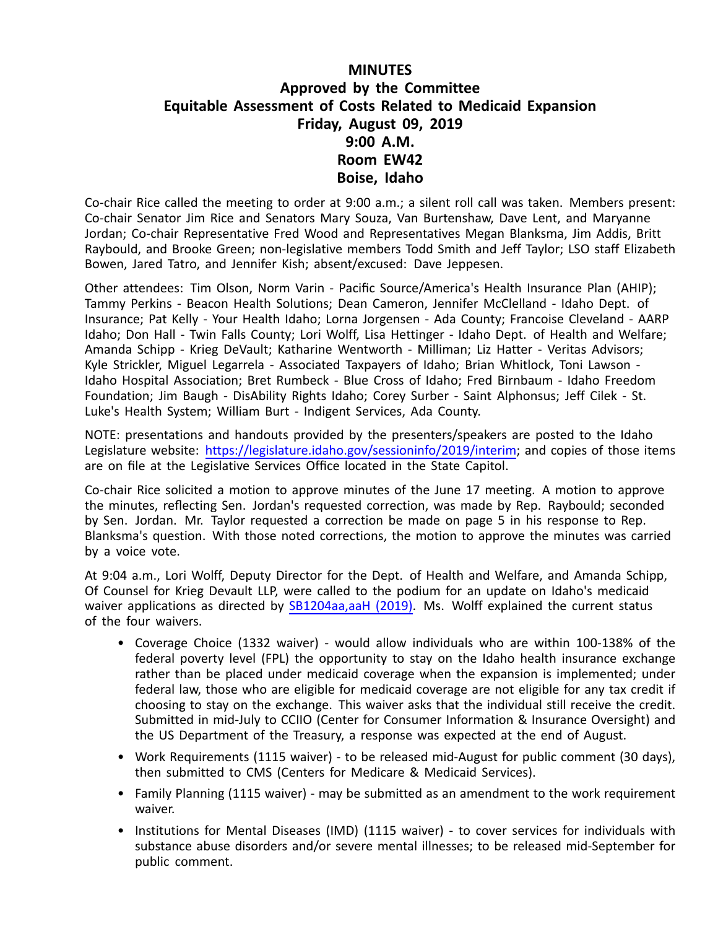## **MINUTES Approved by the Committee Equitable Assessment of Costs Related to Medicaid Expansion Friday, August 09, 2019 9:00 A.M. Room EW42 Boise, Idaho**

Co-chair Rice called the meeting to order at 9:00 a.m.; <sup>a</sup> silent roll call was taken. Members present: Co-chair Senator Jim Rice and Senators Mary Souza, Van Burtenshaw, Dave Lent, and Maryanne Jordan; Co-chair Representative Fred Wood and Representatives Megan Blanksma, Jim Addis, Britt Raybould, and Brooke Green; non-legislative members Todd Smith and Jeff Taylor; LSO staff Elizabeth Bowen, Jared Tatro, and Jennifer Kish; absent/excused: Dave Jeppesen.

Other attendees: Tim Olson, Norm Varin - Pacific Source/America's Health Insurance Plan (AHIP); Tammy Perkins - Beacon Health Solutions; Dean Cameron, Jennifer McClelland - Idaho Dept. of Insurance; Pat Kelly - Your Health Idaho; Lorna Jorgensen - Ada County; Francoise Cleveland - AARP Idaho; Don Hall - Twin Falls County; Lori Wolff, Lisa Hettinger - Idaho Dept. of Health and Welfare; Amanda Schipp - Krieg DeVault; Katharine Wentworth - Milliman; Liz Hatter - Veritas Advisors; Kyle Strickler, Miguel Legarrela - Associated Taxpayers of Idaho; Brian Whitlock, Toni Lawson - Idaho Hospital Association; Bret Rumbeck - Blue Cross of Idaho; Fred Birnbaum - Idaho Freedom Foundation; Jim Baugh - DisAbility Rights Idaho; Corey Surber - Saint Alphonsus; Jeff Cilek - St. Luke's Health System; William Burt - Indigent Services, Ada County.

NOTE: presentations and handouts provided by the presenters/speakers are posted to the Idaho Legislature website: [https://legislature.idaho.gov/sessioninfo/2019/interim](https://legislature.idaho.gov/sessioninfo/2019/interim/); and copies of those items are on file at the Legislative Services Office located in the State Capitol.

Co-chair Rice solicited <sup>a</sup> motion to approve minutes of the June 17 meeting. A motion to approve the minutes, reflecting Sen. Jordan's requested correction, was made by Rep. Raybould; seconded by Sen. Jordan. Mr. Taylor requested <sup>a</sup> correction be made on page 5 in his response to Rep. Blanksma's question. With those noted corrections, the motion to approve the minutes was carried by <sup>a</sup> voice vote.

At 9:04 a.m., Lori Wolff, Deputy Director for the Dept. of Health and Welfare, and Amanda Schipp, Of Counsel for Krieg Devault LLP, were called to the podium for an update on Idaho's medicaid waiver applications as directed by [SB1204aa,aaH](https://legislature.idaho.gov/sessioninfo/2019/legislation/S1204/) (2019). Ms. Wolff explained the current status of the four waivers.

- Coverage Choice (1332 waiver) would allow individuals who are within 100-138% of the federal poverty level (FPL) the opportunity to stay on the Idaho health insurance exchange rather than be placed under medicaid coverage when the expansion is implemented; under federal law, those who are eligible for medicaid coverage are not eligible for any tax credit if choosing to stay on the exchange. This waiver asks that the individual still receive the credit. Submitted in mid-July to CCIIO (Center for Consumer Information & Insurance Oversight) and the US Department of the Treasury, <sup>a</sup> response was expected at the end of August.
- Work Requirements (1115 waiver) to be released mid-August for public comment (30 days), then submitted to CMS (Centers for Medicare & Medicaid Services).
- Family Planning (1115 waiver) may be submitted as an amendment to the work requirement waiver.
- Institutions for Mental Diseases (IMD) (1115 waiver) to cover services for individuals with substance abuse disorders and/or severe mental illnesses; to be released mid-September for public comment.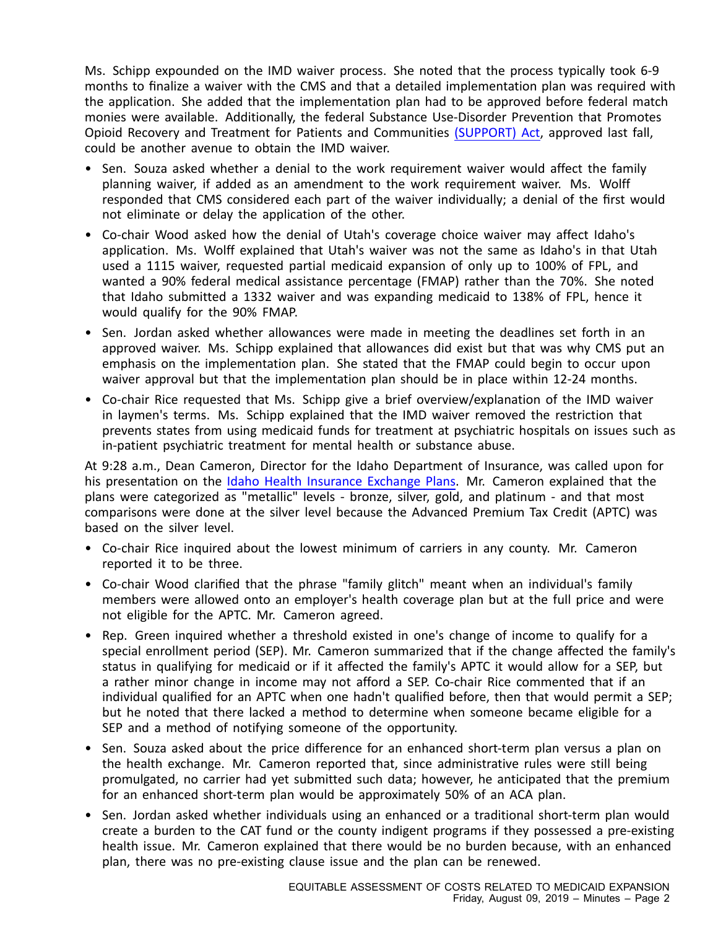Ms. Schipp expounded on the IMD waiver process. She noted that the process typically took 6-9 months to finalize <sup>a</sup> waiver with the CMS and that <sup>a</sup> detailed implementation plan was required with the application. She added that the implementation plan had to be approved before federal match monies were available. Additionally, the federal Substance Use-Disorder Prevention that Promotes Opioid Recovery and Treatment for Patients and Communities [\(SUPPORT\)](https://www.congress.gov/bill/115th-congress/house-bill/6) Act, approved last fall, could be another avenue to obtain the IMD waiver.

- Sen. Souza asked whether <sup>a</sup> denial to the work requirement waiver would affect the family planning waiver, if added as an amendment to the work requirement waiver. Ms. Wolff responded that CMS considered each part of the waiver individually; <sup>a</sup> denial of the first would not eliminate or delay the application of the other.
- Co-chair Wood asked how the denial of Utah's coverage choice waiver may affect Idaho's application. Ms. Wolff explained that Utah's waiver was not the same as Idaho's in that Utah used <sup>a</sup> 1115 waiver, requested partial medicaid expansion of only up to 100% of FPL, and wanted <sup>a</sup> 90% federal medical assistance percentage (FMAP) rather than the 70%. She noted that Idaho submitted <sup>a</sup> 1332 waiver and was expanding medicaid to 138% of FPL, hence it would qualify for the 90% FMAP.
- Sen. Jordan asked whether allowances were made in meeting the deadlines set forth in an approved waiver. Ms. Schipp explained that allowances did exist but that was why CMS put an emphasis on the implementation plan. She stated that the FMAP could begin to occur upon waiver approval but that the implementation plan should be in place within 12-24 months.
- Co-chair Rice requested that Ms. Schipp give <sup>a</sup> brief overview/explanation of the IMD waiver in laymen's terms. Ms. Schipp explained that the IMD waiver removed the restriction that prevents states from using medicaid funds for treatment at psychiatric hospitals on issues such as in-patient psychiatric treatment for mental health or substance abuse.

At 9:28 a.m., Dean Cameron, Director for the Idaho Department of Insurance, was called upon for his presentation on the Idaho Health Insurance [Exchange](https://legislature.idaho.gov/wp-content/uploads/sessioninfo/2019/interim/190809_eame_02_IdahoHealthExchange_Cameron.pdf) Plans. Mr. Cameron explained that the plans were categorized as "metallic" levels - bronze, silver, gold, and platinum - and that most comparisons were done at the silver level because the Advanced Premium Tax Credit (APTC) was based on the silver level.

- Co-chair Rice inquired about the lowest minimum of carriers in any county. Mr. Cameron reported it to be three.
- Co-chair Wood clarified that the phrase "family glitch" meant when an individual's family members were allowed onto an employer's health coverage plan but at the full price and were not eligible for the APTC. Mr. Cameron agreed.
- Rep. Green inquired whether <sup>a</sup> threshold existed in one's change of income to qualify for <sup>a</sup> special enrollment period (SEP). Mr. Cameron summarized that if the change affected the family's status in qualifying for medicaid or if it affected the family's APTC it would allow for <sup>a</sup> SEP, but <sup>a</sup> rather minor change in income may not afford <sup>a</sup> SEP. Co-chair Rice commented that if an individual qualified for an APTC when one hadn't qualified before, then that would permit <sup>a</sup> SEP; but he noted that there lacked <sup>a</sup> method to determine when someone became eligible for <sup>a</sup> SEP and <sup>a</sup> method of notifying someone of the opportunity.
- Sen. Souza asked about the price difference for an enhanced short-term plan versus <sup>a</sup> plan on the health exchange. Mr. Cameron reported that, since administrative rules were still being promulgated, no carrier had yet submitted such data; however, he anticipated that the premium for an enhanced short-term plan would be approximately 50% of an ACA plan.
- Sen. Jordan asked whether individuals using an enhanced or <sup>a</sup> traditional short-term plan would create <sup>a</sup> burden to the CAT fund or the county indigent programs if they possessed <sup>a</sup> pre-existing health issue. Mr. Cameron explained that there would be no burden because, with an enhanced plan, there was no pre-existing clause issue and the plan can be renewed.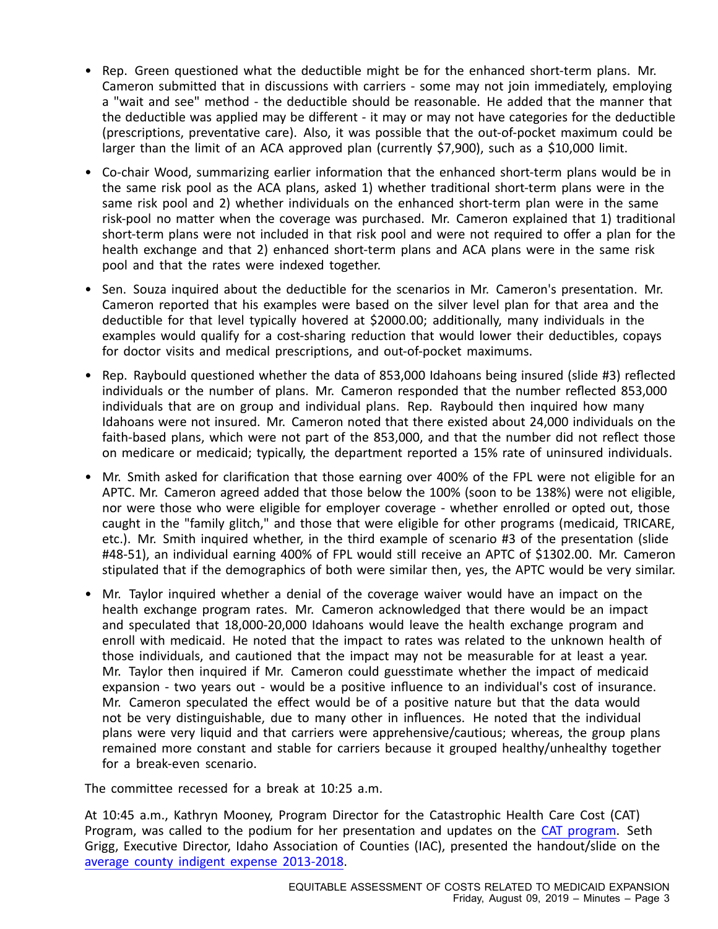- Rep. Green questioned what the deductible might be for the enhanced short-term plans. Mr. Cameron submitted that in discussions with carriers - some may not join immediately, employing <sup>a</sup> "wait and see" method - the deductible should be reasonable. He added that the manner that the deductible was applied may be different - it may or may not have categories for the deductible (prescriptions, preventative care). Also, it was possible that the out-of-pocket maximum could be larger than the limit of an ACA approved plan (currently \$7,900), such as <sup>a</sup> \$10,000 limit.
- Co-chair Wood, summarizing earlier information that the enhanced short-term plans would be in the same risk pool as the ACA plans, asked 1) whether traditional short-term plans were in the same risk pool and 2) whether individuals on the enhanced short-term plan were in the same risk-pool no matter when the coverage was purchased. Mr. Cameron explained that 1) traditional short-term plans were not included in that risk pool and were not required to offer <sup>a</sup> plan for the health exchange and that 2) enhanced short-term plans and ACA plans were in the same risk pool and that the rates were indexed together.
- Sen. Souza inquired about the deductible for the scenarios in Mr. Cameron's presentation. Mr. Cameron reported that his examples were based on the silver level plan for that area and the deductible for that level typically hovered at \$2000.00; additionally, many individuals in the examples would qualify for <sup>a</sup> cost-sharing reduction that would lower their deductibles, copays for doctor visits and medical prescriptions, and out-of-pocket maximums.
- Rep. Raybould questioned whether the data of 853,000 Idahoans being insured (slide #3) reflected individuals or the number of plans. Mr. Cameron responded that the number reflected 853,000 individuals that are on group and individual plans. Rep. Raybould then inquired how many Idahoans were not insured. Mr. Cameron noted that there existed about 24,000 individuals on the faith-based plans, which were not part of the 853,000, and that the number did not reflect those on medicare or medicaid; typically, the department reported <sup>a</sup> 15% rate of uninsured individuals.
- Mr. Smith asked for clarification that those earning over 400% of the FPL were not eligible for an APTC. Mr. Cameron agreed added that those below the 100% (soon to be 138%) were not eligible, nor were those who were eligible for employer coverage - whether enrolled or opted out, those caught in the "family glitch," and those that were eligible for other programs (medicaid, TRICARE, etc.). Mr. Smith inquired whether, in the third example of scenario #3 of the presentation (slide #48-51), an individual earning 400% of FPL would still receive an APTC of \$1302.00. Mr. Cameron stipulated that if the demographics of both were similar then, yes, the APTC would be very similar.
- Mr. Taylor inquired whether <sup>a</sup> denial of the coverage waiver would have an impact on the health exchange program rates. Mr. Cameron acknowledged that there would be an impact and speculated that 18,000-20,000 Idahoans would leave the health exchange program and enroll with medicaid. He noted that the impact to rates was related to the unknown health of those individuals, and cautioned that the impact may not be measurable for at least <sup>a</sup> year. Mr. Taylor then inquired if Mr. Cameron could guesstimate whether the impact of medicaid expansion - two years out - would be <sup>a</sup> positive influence to an individual's cost of insurance. Mr. Cameron speculated the effect would be of <sup>a</sup> positive nature but that the data would not be very distinguishable, due to many other in influences. He noted that the individual plans were very liquid and that carriers were apprehensive/cautious; whereas, the group plans remained more constant and stable for carriers because it grouped healthy/unhealthy together for <sup>a</sup> break-even scenario.

The committee recessed for <sup>a</sup> break at 10:25 a.m.

At 10:45 a.m., Kathryn Mooney, Program Director for the Catastrophic Health Care Cost (CAT) Program, was called to the podium for her presentation and updates on the CAT [program](https://legislature.idaho.gov/wp-content/uploads/sessioninfo/2019/interim/190809_eame_03_CAT Program_Mooney.pdf). Seth Grigg, Executive Director, Idaho Association of Counties (IAC), presented the handout/slide on the average county indigent expense [2013-2018](https://legislature.idaho.gov/wp-content/uploads/sessioninfo/2019/interim/190809_eame_03_6yrAvgIndigentPaymentsCounty_Grigg.pdf).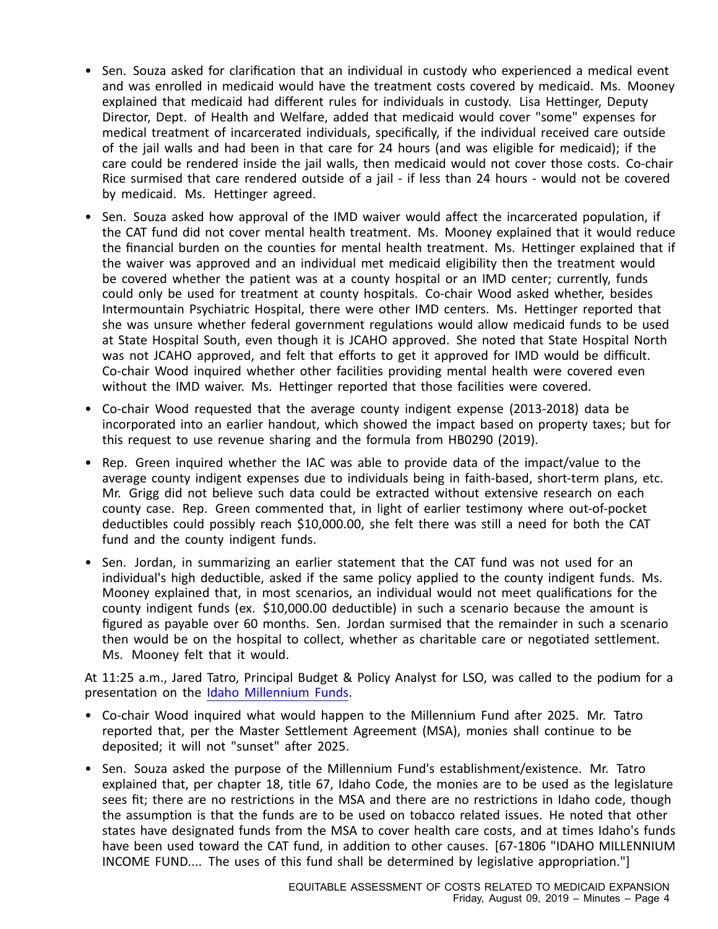- Sen. Souza asked for clarification that an individual in custody who experienced <sup>a</sup> medical event and was enrolled in medicaid would have the treatment costs covered by medicaid. Ms. Mooney explained that medicaid had different rules for individuals in custody. Lisa Hettinger, Deputy Director, Dept. of Health and Welfare, added that medicaid would cover "some" expenses for medical treatment of incarcerated individuals, specifically, if the individual received care outside of the jail walls and had been in that care for 24 hours (and was eligible for medicaid); if the care could be rendered inside the jail walls, then medicaid would not cover those costs. Co-chair Rice surmised that care rendered outside of <sup>a</sup> jail - if less than 24 hours - would not be covered by medicaid. Ms. Hettinger agreed.
- Sen. Souza asked how approval of the IMD waiver would affect the incarcerated population, if the CAT fund did not cover mental health treatment. Ms. Mooney explained that it would reduce the financial burden on the counties for mental health treatment. Ms. Hettinger explained that if the waiver was approved and an individual met medicaid eligibility then the treatment would be covered whether the patient was at <sup>a</sup> county hospital or an IMD center; currently, funds could only be used for treatment at county hospitals. Co-chair Wood asked whether, besides Intermountain Psychiatric Hospital, there were other IMD centers. Ms. Hettinger reported that she was unsure whether federal government regulations would allow medicaid funds to be used at State Hospital South, even though it is JCAHO approved. She noted that State Hospital North was not JCAHO approved, and felt that efforts to get it approved for IMD would be difficult. Co-chair Wood inquired whether other facilities providing mental health were covered even without the IMD waiver. Ms. Hettinger reported that those facilities were covered.
- Co-chair Wood requested that the average county indigent expense (2013-2018) data be incorporated into an earlier handout, which showed the impact based on property taxes; but for this request to use revenue sharing and the formula from HB0290 (2019).
- Rep. Green inquired whether the IAC was able to provide data of the impact/value to the average county indigent expenses due to individuals being in faith-based, short-term plans, etc. Mr. Grigg did not believe such data could be extracted without extensive research on each county case. Rep. Green commented that, in light of earlier testimony where out-of-pocket deductibles could possibly reach \$10,000.00, she felt there was still <sup>a</sup> need for both the CAT fund and the county indigent funds.
- Sen. Jordan, in summarizing an earlier statement that the CAT fund was not used for an individual's high deductible, asked if the same policy applied to the county indigent funds. Ms. Mooney explained that, in most scenarios, an individual would not meet qualifications for the county indigent funds (ex. \$10,000.00 deductible) in such <sup>a</sup> scenario because the amount is figured as payable over 60 months. Sen. Jordan surmised that the remainder in such <sup>a</sup> scenario then would be on the hospital to collect, whether as charitable care or negotiated settlement. Ms. Mooney felt that it would.

At 11:25 a.m., Jared Tatro, Principal Budget & Policy Analyst for LSO, was called to the podium for <sup>a</sup> presentation on the Idaho [Millennium](https://legislature.idaho.gov/wp-content/uploads/sessioninfo/2019/interim/190809_eame_04_MedicaidExpan-MillenniumFunds_Tatro.pdf) Funds.

- • Co-chair Wood inquired what would happen to the Millennium Fund after 2025. Mr. Tatro reported that, per the Master Settlement Agreement (MSA), monies shall continue to be deposited; it will not "sunset" after 2025.
- Sen. Souza asked the purpose of the Millennium Fund's establishment/existence. Mr. Tatro explained that, per chapter 18, title 67, Idaho Code, the monies are to be used as the legislature sees fit; there are no restrictions in the MSA and there are no restrictions in Idaho code, though the assumption is that the funds are to be used on tobacco related issues. He noted that other states have designated funds from the MSA to cover health care costs, and at times Idaho's funds have been used toward the CAT fund, in addition to other causes. [67-1806 "IDAHO MILLENNIUM INCOME FUND.... The uses of this fund shall be determined by legislative appropriation."]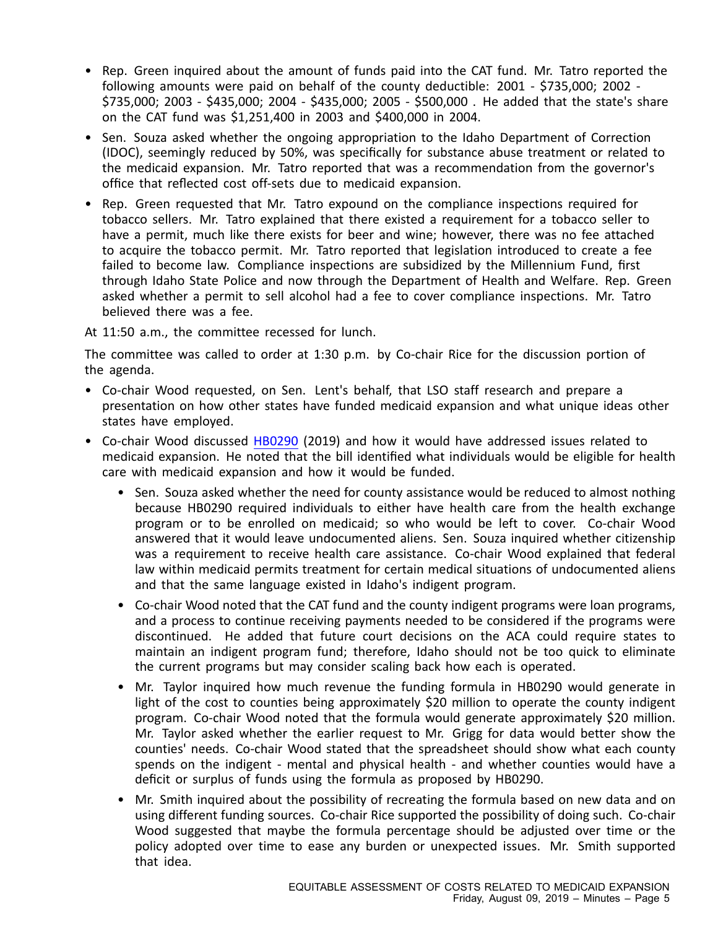- Rep. Green inquired about the amount of funds paid into the CAT fund. Mr. Tatro reported the following amounts were paid on behalf of the county deductible: 2001 - \$735,000; 2002 - \$735,000; 2003 - \$435,000; 2004 - \$435,000; 2005 - \$500,000 . He added that the state's share on the CAT fund was \$1,251,400 in 2003 and \$400,000 in 2004.
- Sen. Souza asked whether the ongoing appropriation to the Idaho Department of Correction (IDOC), seemingly reduced by 50%, was specifically for substance abuse treatment or related to the medicaid expansion. Mr. Tatro reported that was <sup>a</sup> recommendation from the governor's office that reflected cost off-sets due to medicaid expansion.
- Rep. Green requested that Mr. Tatro expound on the compliance inspections required for tobacco sellers. Mr. Tatro explained that there existed <sup>a</sup> requirement for <sup>a</sup> tobacco seller to have <sup>a</sup> permit, much like there exists for beer and wine; however, there was no fee attached to acquire the tobacco permit. Mr. Tatro reported that legislation introduced to create <sup>a</sup> fee failed to become law. Compliance inspections are subsidized by the Millennium Fund, first through Idaho State Police and now through the Department of Health and Welfare. Rep. Green asked whether <sup>a</sup> permit to sell alcohol had <sup>a</sup> fee to cover compliance inspections. Mr. Tatro believed there was <sup>a</sup> fee.

At 11:50 a.m., the committee recessed for lunch.

The committee was called to order at 1:30 p.m. by Co-chair Rice for the discussion portion of the agenda.

- Co-chair Wood requested, on Sen. Lent's behalf, that LSO staff research and prepare <sup>a</sup> presentation on how other states have funded medicaid expansion and what unique ideas other states have employed.
- Co-chair Wood discussed [HB0290](https://legislature.idaho.gov/wp-content/uploads/sessioninfo/2019/interim/190809_eame_05_HB290(2019)wSOP.pdf) (2019) and how it would have addressed issues related to medicaid expansion. He noted that the bill identified what individuals would be eligible for health care with medicaid expansion and how it would be funded.
	- Sen. Souza asked whether the need for county assistance would be reduced to almost nothing because HB0290 required individuals to either have health care from the health exchange program or to be enrolled on medicaid; so who would be left to cover. Co-chair Wood answered that it would leave undocumented aliens. Sen. Souza inquired whether citizenship was <sup>a</sup> requirement to receive health care assistance. Co-chair Wood explained that federal law within medicaid permits treatment for certain medical situations of undocumented aliens and that the same language existed in Idaho's indigent program.
	- Co-chair Wood noted that the CAT fund and the county indigent programs were loan programs, and <sup>a</sup> process to continue receiving payments needed to be considered if the programs were discontinued. He added that future court decisions on the ACA could require states to maintain an indigent program fund; therefore, Idaho should not be too quick to eliminate the current programs but may consider scaling back how each is operated.
	- Mr. Taylor inquired how much revenue the funding formula in HB0290 would generate in light of the cost to counties being approximately \$20 million to operate the county indigent program. Co-chair Wood noted that the formula would generate approximately \$20 million. Mr. Taylor asked whether the earlier request to Mr. Grigg for data would better show the counties' needs. Co-chair Wood stated that the spreadsheet should show what each county spends on the indigent - mental and physical health - and whether counties would have <sup>a</sup> deficit or surplus of funds using the formula as proposed by HB0290.
	- Mr. Smith inquired about the possibility of recreating the formula based on new data and on using different funding sources. Co-chair Rice supported the possibility of doing such. Co-chair Wood suggested that maybe the formula percentage should be adjusted over time or the policy adopted over time to ease any burden or unexpected issues. Mr. Smith supported that idea.